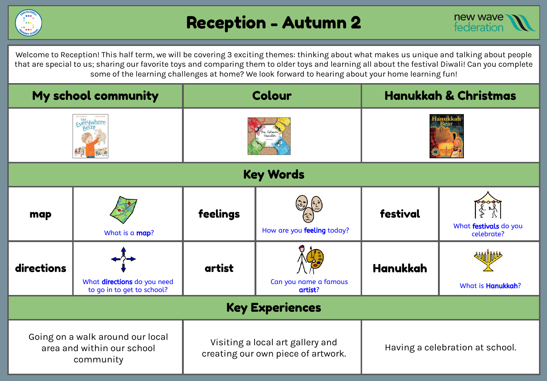



Welcome to Reception! This half term, we will be covering 3 exciting themes: thinking about what makes us unique and talking about people that are special to us; sharing our favorite toys and comparing them to older toys and learning all about the festival Diwali! Can you complete some of the learning challenges at home? We look forward to hearing about your home learning fun!

| My school community                                                         |                                                           | Colour                                                                 |                                  | <b>Hanukkah &amp; Christmas</b> |                                     |  |  |  |
|-----------------------------------------------------------------------------|-----------------------------------------------------------|------------------------------------------------------------------------|----------------------------------|---------------------------------|-------------------------------------|--|--|--|
| Fverywhere                                                                  |                                                           |                                                                        |                                  |                                 |                                     |  |  |  |
| <b>Key Words</b>                                                            |                                                           |                                                                        |                                  |                                 |                                     |  |  |  |
| map                                                                         | What is a map?                                            | feelings                                                               | How are you feeling today?       | festival                        | What festivals do you<br>celebrate? |  |  |  |
| directions                                                                  | What directions do you need<br>to go in to get to school? | artist                                                                 | Can you name a famous<br>artist? | <b>Hanukkah</b>                 | What is Hanukkah?                   |  |  |  |
| <b>Key Experiences</b>                                                      |                                                           |                                                                        |                                  |                                 |                                     |  |  |  |
| Going on a walk around our local<br>area and within our school<br>community |                                                           | Visiting a local art gallery and<br>creating our own piece of artwork. |                                  | Having a celebration at school. |                                     |  |  |  |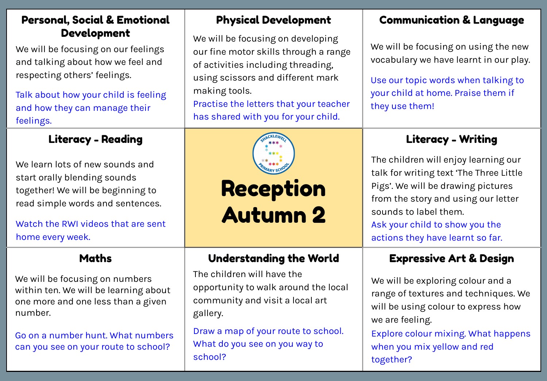#### Personal, Social & Emotional Development

We will be focusing on our feelings and talking about how we feel and respecting others' feelings.

Talk about how your child is feeling and how they can manage their feelings.

### Literacy - Reading Literacy - Writing

We learn lots of new sounds and start orally blending sounds together! We will be beginning to read simple words and sentences.

Watch the RWI videos that are sent home every week.

We will be focusing on numbers within ten. We will be learning about one more and one less than a given number.

Go on a number hunt. What numbers can you see on your route to school?

### Physical Development

We will be focusing on developing our fine motor skills through a range of activities including threading, using scissors and different mark making tools.

Practise the letters that your teacher has shared with you for your child.



# Reception Autumn 2

### Maths Understanding the World Expressive Art & Design

The children will have the opportunity to walk around the local community and visit a local art gallery.

Draw a map of your route to school. What do you see on you way to school?

### Communication & Language

We will be focusing on using the new vocabulary we have learnt in our play.

Use our topic words when talking to your child at home. Praise them if they use them!

The children will enjoy learning our talk for writing text 'The Three Little Pigs'. We will be drawing pictures from the story and using our letter sounds to label them. Ask your child to show you the actions they have learnt so far.

We will be exploring colour and a range of textures and techniques. We will be using colour to express how we are feeling.

Explore colour mixing. What happens when you mix yellow and red together?